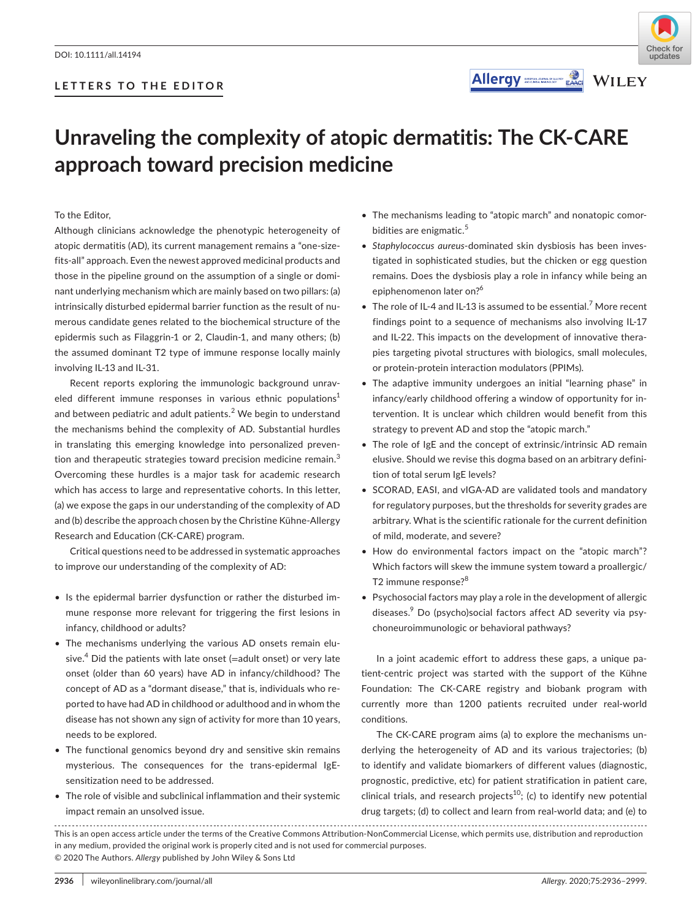





# **Unraveling the complexity of atopic dermatitis: The CK-CARE approach toward precision medicine**

To the Editor,

Although clinicians acknowledge the phenotypic heterogeneity of atopic dermatitis (AD), its current management remains a "one-sizefits-all" approach. Even the newest approved medicinal products and those in the pipeline ground on the assumption of a single or dominant underlying mechanism which are mainly based on two pillars: (a) intrinsically disturbed epidermal barrier function as the result of numerous candidate genes related to the biochemical structure of the epidermis such as Filaggrin-1 or 2, Claudin-1, and many others; (b) the assumed dominant T2 type of immune response locally mainly involving IL-13 and IL-31.

Recent reports exploring the immunologic background unraveled different immune responses in various ethnic populations<sup>1</sup> and between pediatric and adult patients. $2$  We begin to understand the mechanisms behind the complexity of AD. Substantial hurdles in translating this emerging knowledge into personalized prevention and therapeutic strategies toward precision medicine remain.<sup>3</sup> Overcoming these hurdles is a major task for academic research which has access to large and representative cohorts. In this letter, (a) we expose the gaps in our understanding of the complexity of AD and (b) describe the approach chosen by the Christine Kühne-Allergy Research and Education (CK-CARE) program.

Critical questions need to be addressed in systematic approaches to improve our understanding of the complexity of AD:

- Is the epidermal barrier dysfunction or rather the disturbed immune response more relevant for triggering the first lesions in infancy, childhood or adults?
- The mechanisms underlying the various AD onsets remain elusive.<sup>4</sup> Did the patients with late onset (=adult onset) or very late onset (older than 60 years) have AD in infancy/childhood? The concept of AD as a "dormant disease," that is, individuals who reported to have had AD in childhood or adulthood and in whom the disease has not shown any sign of activity for more than 10 years, needs to be explored.
- The functional genomics beyond dry and sensitive skin remains mysterious. The consequences for the trans-epidermal IgEsensitization need to be addressed.
- The role of visible and subclinical inflammation and their systemic impact remain an unsolved issue.
- The mechanisms leading to "atopic march" and nonatopic comorbidities are enigmatic.<sup>5</sup>
- *Staphylococcus aureus*-dominated skin dysbiosis has been investigated in sophisticated studies, but the chicken or egg question remains. Does the dysbiosis play a role in infancy while being an epiphenomenon later on?<sup>6</sup>
- $\bullet$  The role of IL-4 and IL-13 is assumed to be essential.<sup>7</sup> More recent findings point to a sequence of mechanisms also involving IL-17 and IL-22. This impacts on the development of innovative therapies targeting pivotal structures with biologics, small molecules, or protein-protein interaction modulators (PPIMs).
- The adaptive immunity undergoes an initial "learning phase" in infancy/early childhood offering a window of opportunity for intervention. It is unclear which children would benefit from this strategy to prevent AD and stop the "atopic march."
- The role of IgE and the concept of extrinsic/intrinsic AD remain elusive. Should we revise this dogma based on an arbitrary definition of total serum IgE levels?
- SCORAD, EASI, and vIGA-AD are validated tools and mandatory for regulatory purposes, but the thresholds for severity grades are arbitrary. What is the scientific rationale for the current definition of mild, moderate, and severe?
- How do environmental factors impact on the "atopic march"? Which factors will skew the immune system toward a proallergic/ T2 immune response?<sup>8</sup>
- Psychosocial factors may play a role in the development of allergic diseases.<sup>9</sup> Do (psycho)social factors affect AD severity via psychoneuroimmunologic or behavioral pathways?

In a joint academic effort to address these gaps, a unique patient-centric project was started with the support of the Kühne Foundation: The CK-CARE registry and biobank program with currently more than 1200 patients recruited under real-world conditions.

The CK-CARE program aims (a) to explore the mechanisms underlying the heterogeneity of AD and its various trajectories; (b) to identify and validate biomarkers of different values (diagnostic, prognostic, predictive, etc) for patient stratification in patient care, clinical trials, and research projects<sup>10</sup>; (c) to identify new potential drug targets; (d) to collect and learn from real-world data; and (e) to

This is an open access article under the terms of the [Creative Commons Attribution-NonCommercial](http://creativecommons.org/licenses/by-nc/4.0/) License, which permits use, distribution and reproduction in any medium, provided the original work is properly cited and is not used for commercial purposes. © 2020 The Authors. *Allergy* published by John Wiley & Sons Ltd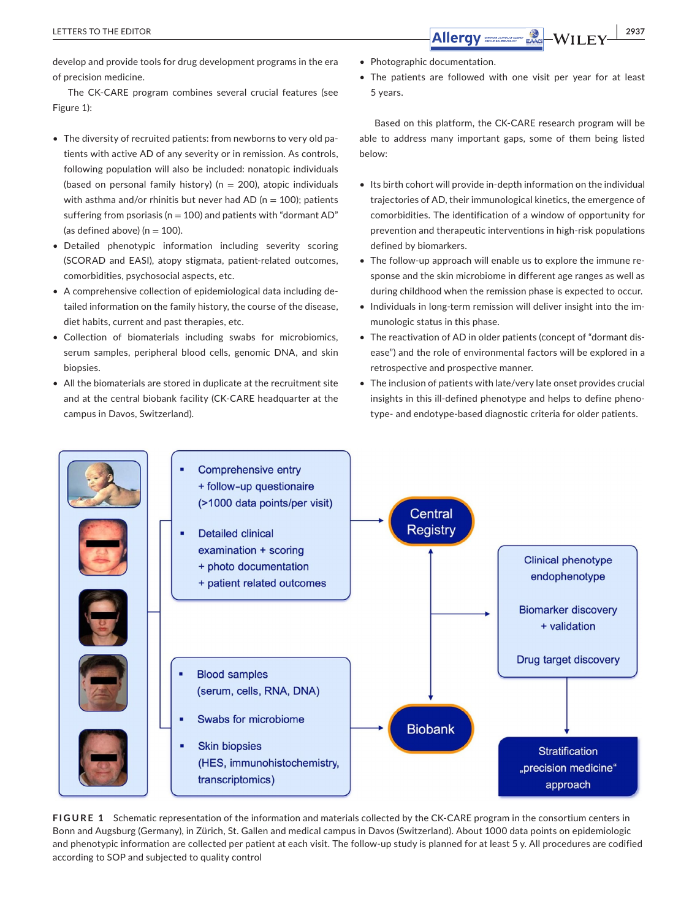develop and provide tools for drug development programs in the era of precision medicine.

The CK-CARE program combines several crucial features (see Figure 1):

- The diversity of recruited patients: from newborns to very old patients with active AD of any severity or in remission. As controls, following population will also be included: nonatopic individuals (based on personal family history) ( $n = 200$ ), atopic individuals with asthma and/or rhinitis but never had AD ( $n = 100$ ); patients suffering from psoriasis ( $n = 100$ ) and patients with "dormant AD" (as defined above) ( $n = 100$ ).
- Detailed phenotypic information including severity scoring (SCORAD and EASI), atopy stigmata, patient-related outcomes, comorbidities, psychosocial aspects, etc.
- A comprehensive collection of epidemiological data including detailed information on the family history, the course of the disease, diet habits, current and past therapies, etc.
- Collection of biomaterials including swabs for microbiomics, serum samples, peripheral blood cells, genomic DNA, and skin biopsies.
- All the biomaterials are stored in duplicate at the recruitment site and at the central biobank facility (CK-CARE headquarter at the campus in Davos, Switzerland).
- Photographic documentation.
- The patients are followed with one visit per year for at least 5 years.

Based on this platform, the CK-CARE research program will be able to address many important gaps, some of them being listed below:

- Its birth cohort will provide in-depth information on the individual trajectories of AD, their immunological kinetics, the emergence of comorbidities. The identification of a window of opportunity for prevention and therapeutic interventions in high-risk populations defined by biomarkers.
- The follow-up approach will enable us to explore the immune response and the skin microbiome in different age ranges as well as during childhood when the remission phase is expected to occur.
- Individuals in long-term remission will deliver insight into the immunologic status in this phase.
- The reactivation of AD in older patients (concept of "dormant disease") and the role of environmental factors will be explored in a retrospective and prospective manner.
- The inclusion of patients with late/very late onset provides crucial insights in this ill-defined phenotype and helps to define phenotype- and endotype-based diagnostic criteria for older patients.



**FIGURE 1** Schematic representation of the information and materials collected by the CK-CARE program in the consortium centers in Bonn and Augsburg (Germany), in Zürich, St. Gallen and medical campus in Davos (Switzerland). About 1000 data points on epidemiologic and phenotypic information are collected per patient at each visit. The follow-up study is planned for at least 5 y. All procedures are codified according to SOP and subjected to quality control